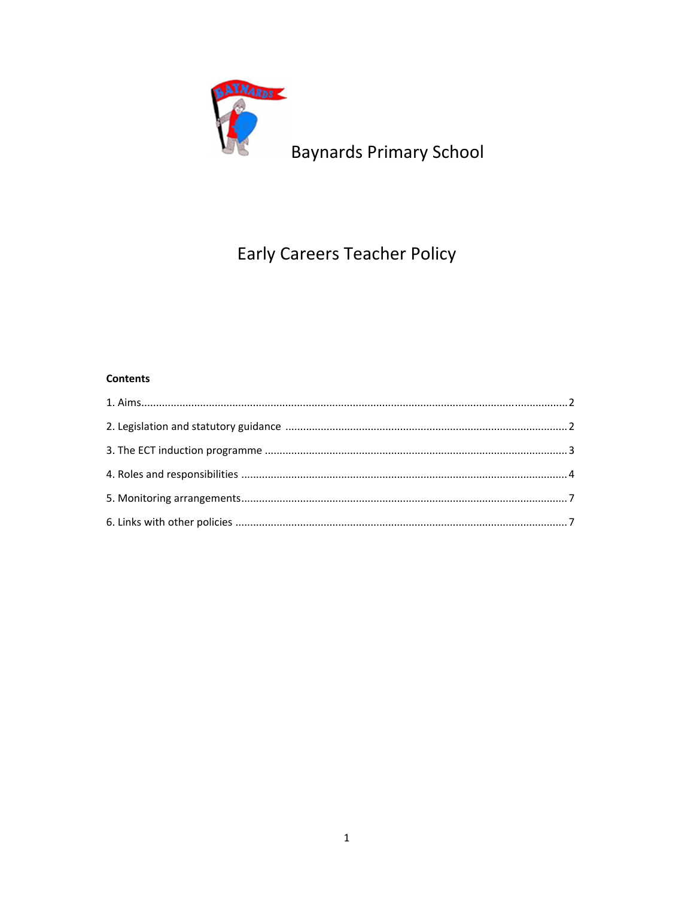

Baynards Primary School

# **Early Careers Teacher Policy**

# **Contents**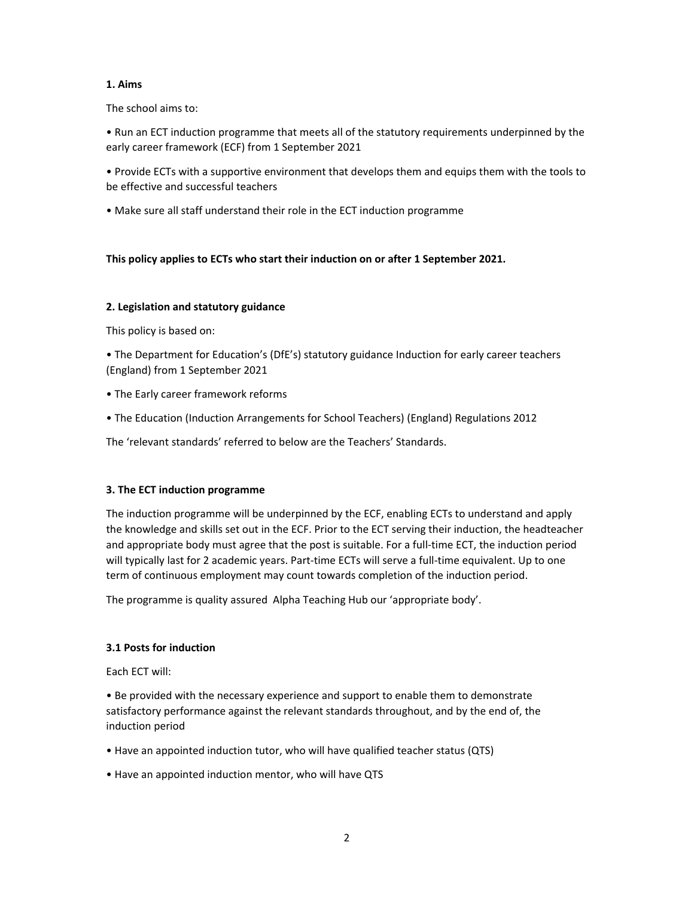# **1. Aims**

The school aims to:

• Run an ECT induction programme that meets all of the statutory requirements underpinned by the early career framework (ECF) from 1 September 2021

• Provide ECTs with a supportive environment that develops them and equips them with the tools to be effective and successful teachers

• Make sure all staff understand their role in the ECT induction programme

# **This policy applies to ECTs who start their induction on or after 1 September 2021.**

# **2. Legislation and statutory guidance**

This policy is based on:

• The Department for Education's (DfE's) statutory guidance Induction for early career teachers (England) from 1 September 2021

- The Early career framework reforms
- The Education (Induction Arrangements for School Teachers) (England) Regulations 2012

The 'relevant standards' referred to below are the Teachers' Standards.

# **3. The ECT induction programme**

The induction programme will be underpinned by the ECF, enabling ECTs to understand and apply the knowledge and skills set out in the ECF. Prior to the ECT serving their induction, the headteacher and appropriate body must agree that the post is suitable. For a full-time ECT, the induction period will typically last for 2 academic years. Part-time ECTs will serve a full-time equivalent. Up to one term of continuous employment may count towards completion of the induction period.

The programme is quality assured Alpha Teaching Hub our 'appropriate body'.

# **3.1 Posts for induction**

Each ECT will:

• Be provided with the necessary experience and support to enable them to demonstrate satisfactory performance against the relevant standards throughout, and by the end of, the induction period

- Have an appointed induction tutor, who will have qualified teacher status (QTS)
- Have an appointed induction mentor, who will have QTS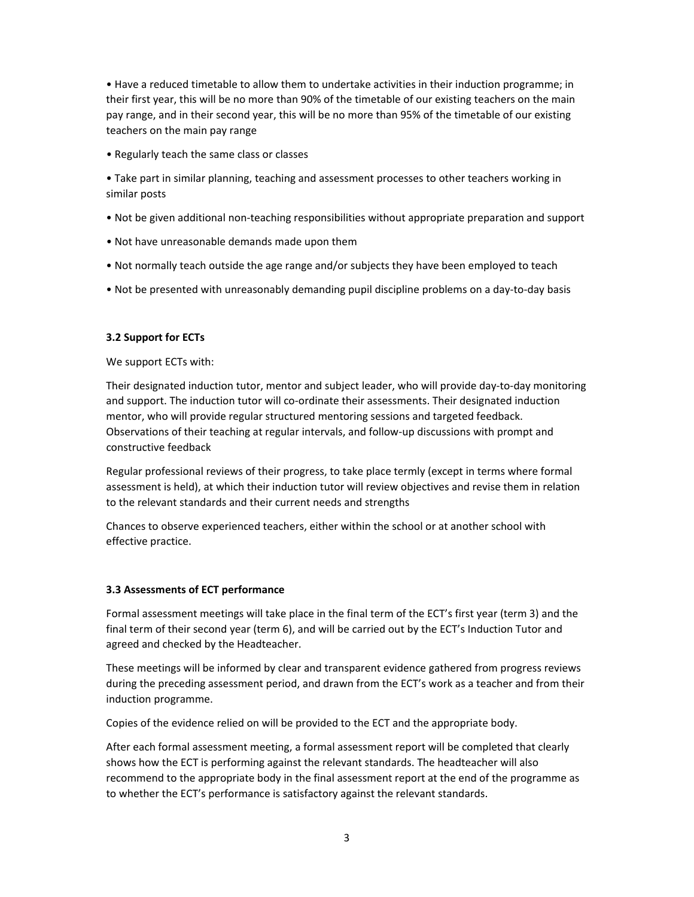• Have a reduced timetable to allow them to undertake activities in their induction programme; in their first year, this will be no more than 90% of the timetable of our existing teachers on the main pay range, and in their second year, this will be no more than 95% of the timetable of our existing teachers on the main pay range

• Regularly teach the same class or classes

• Take part in similar planning, teaching and assessment processes to other teachers working in similar posts

- Not be given additional non‐teaching responsibilities without appropriate preparation and support
- Not have unreasonable demands made upon them
- Not normally teach outside the age range and/or subjects they have been employed to teach
- Not be presented with unreasonably demanding pupil discipline problems on a day‐to‐day basis

#### **3.2 Support for ECTs**

We support ECTs with:

Their designated induction tutor, mentor and subject leader, who will provide day‐to‐day monitoring and support. The induction tutor will co-ordinate their assessments. Their designated induction mentor, who will provide regular structured mentoring sessions and targeted feedback. Observations of their teaching at regular intervals, and follow‐up discussions with prompt and constructive feedback

Regular professional reviews of their progress, to take place termly (except in terms where formal assessment is held), at which their induction tutor will review objectives and revise them in relation to the relevant standards and their current needs and strengths

Chances to observe experienced teachers, either within the school or at another school with effective practice.

#### **3.3 Assessments of ECT performance**

Formal assessment meetings will take place in the final term of the ECT's first year (term 3) and the final term of their second year (term 6), and will be carried out by the ECT's Induction Tutor and agreed and checked by the Headteacher.

These meetings will be informed by clear and transparent evidence gathered from progress reviews during the preceding assessment period, and drawn from the ECT's work as a teacher and from their induction programme.

Copies of the evidence relied on will be provided to the ECT and the appropriate body.

After each formal assessment meeting, a formal assessment report will be completed that clearly shows how the ECT is performing against the relevant standards. The headteacher will also recommend to the appropriate body in the final assessment report at the end of the programme as to whether the ECT's performance is satisfactory against the relevant standards.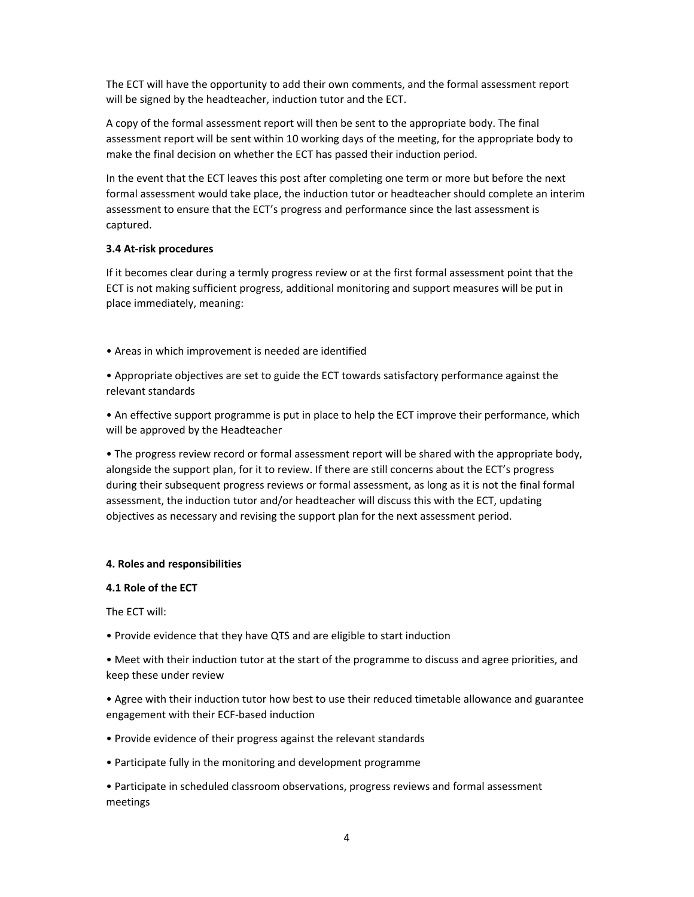The ECT will have the opportunity to add their own comments, and the formal assessment report will be signed by the headteacher, induction tutor and the ECT.

A copy of the formal assessment report will then be sent to the appropriate body. The final assessment report will be sent within 10 working days of the meeting, for the appropriate body to make the final decision on whether the ECT has passed their induction period.

In the event that the ECT leaves this post after completing one term or more but before the next formal assessment would take place, the induction tutor or headteacher should complete an interim assessment to ensure that the ECT's progress and performance since the last assessment is captured.

# **3.4 At‐risk procedures**

If it becomes clear during a termly progress review or at the first formal assessment point that the ECT is not making sufficient progress, additional monitoring and support measures will be put in place immediately, meaning:

• Areas in which improvement is needed are identified

• Appropriate objectives are set to guide the ECT towards satisfactory performance against the relevant standards

• An effective support programme is put in place to help the ECT improve their performance, which will be approved by the Headteacher

• The progress review record or formal assessment report will be shared with the appropriate body, alongside the support plan, for it to review. If there are still concerns about the ECT's progress during their subsequent progress reviews or formal assessment, as long as it is not the final formal assessment, the induction tutor and/or headteacher will discuss this with the ECT, updating objectives as necessary and revising the support plan for the next assessment period.

# **4. Roles and responsibilities**

#### **4.1 Role of the ECT**

The ECT will:

• Provide evidence that they have QTS and are eligible to start induction

• Meet with their induction tutor at the start of the programme to discuss and agree priorities, and keep these under review

• Agree with their induction tutor how best to use their reduced timetable allowance and guarantee engagement with their ECF‐based induction

- Provide evidence of their progress against the relevant standards
- Participate fully in the monitoring and development programme

• Participate in scheduled classroom observations, progress reviews and formal assessment meetings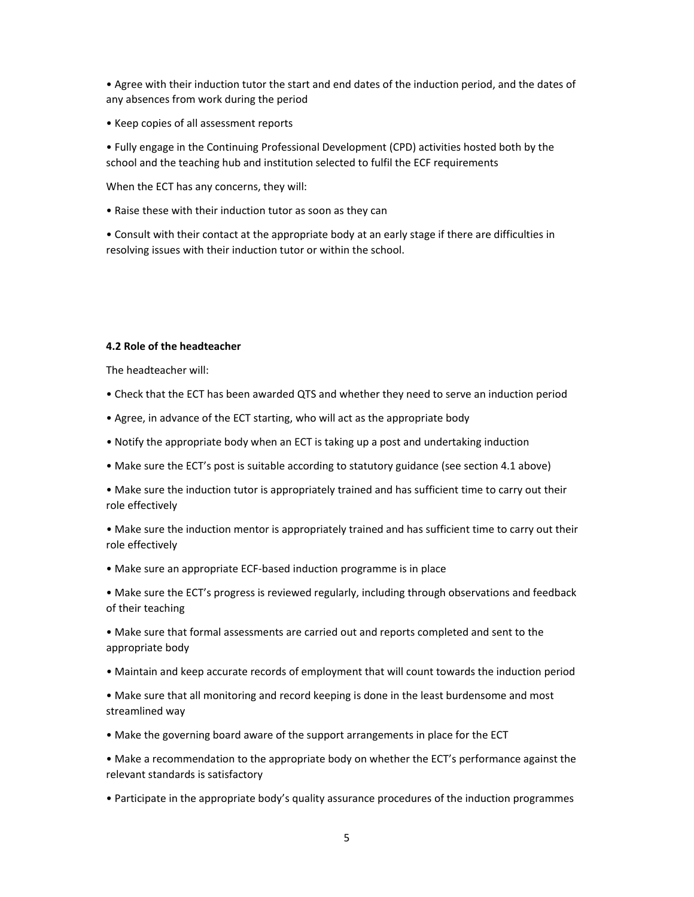• Agree with their induction tutor the start and end dates of the induction period, and the dates of any absences from work during the period

• Keep copies of all assessment reports

• Fully engage in the Continuing Professional Development (CPD) activities hosted both by the school and the teaching hub and institution selected to fulfil the ECF requirements

When the ECT has any concerns, they will:

• Raise these with their induction tutor as soon as they can

• Consult with their contact at the appropriate body at an early stage if there are difficulties in resolving issues with their induction tutor or within the school.

#### **4.2 Role of the headteacher**

The headteacher will:

- Check that the ECT has been awarded QTS and whether they need to serve an induction period
- Agree, in advance of the ECT starting, who will act as the appropriate body
- Notify the appropriate body when an ECT is taking up a post and undertaking induction
- Make sure the ECT's post is suitable according to statutory guidance (see section 4.1 above)
- Make sure the induction tutor is appropriately trained and has sufficient time to carry out their role effectively

• Make sure the induction mentor is appropriately trained and has sufficient time to carry out their role effectively

• Make sure an appropriate ECF‐based induction programme is in place

• Make sure the ECT's progress is reviewed regularly, including through observations and feedback of their teaching

• Make sure that formal assessments are carried out and reports completed and sent to the appropriate body

• Maintain and keep accurate records of employment that will count towards the induction period

• Make sure that all monitoring and record keeping is done in the least burdensome and most streamlined way

• Make the governing board aware of the support arrangements in place for the ECT

• Make a recommendation to the appropriate body on whether the ECT's performance against the relevant standards is satisfactory

• Participate in the appropriate body's quality assurance procedures of the induction programmes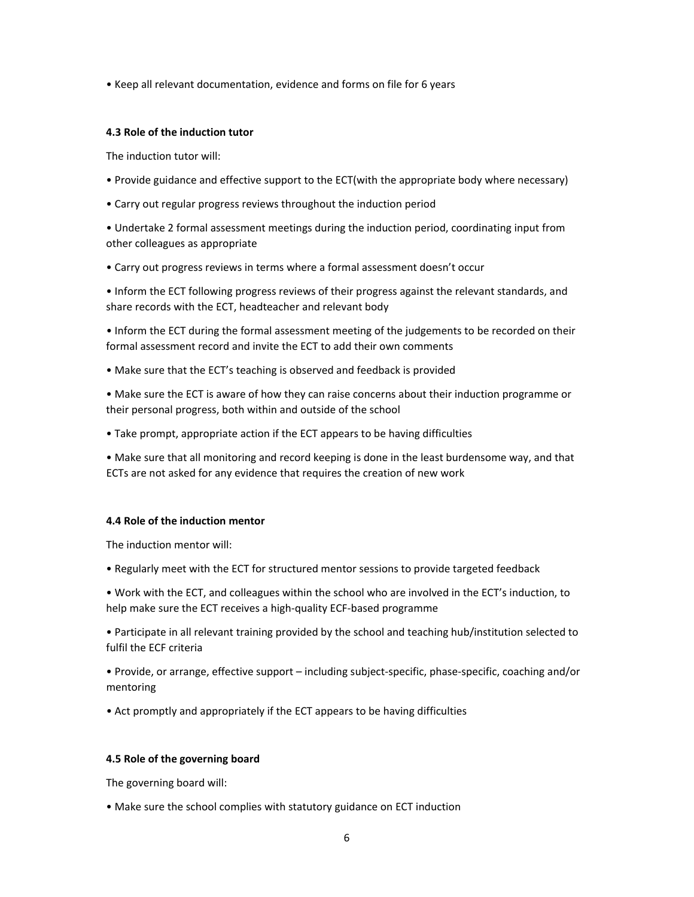• Keep all relevant documentation, evidence and forms on file for 6 years

#### **4.3 Role of the induction tutor**

The induction tutor will:

- Provide guidance and effective support to the ECT(with the appropriate body where necessary)
- Carry out regular progress reviews throughout the induction period

• Undertake 2 formal assessment meetings during the induction period, coordinating input from other colleagues as appropriate

• Carry out progress reviews in terms where a formal assessment doesn't occur

• Inform the ECT following progress reviews of their progress against the relevant standards, and share records with the ECT, headteacher and relevant body

• Inform the ECT during the formal assessment meeting of the judgements to be recorded on their formal assessment record and invite the ECT to add their own comments

• Make sure that the ECT's teaching is observed and feedback is provided

• Make sure the ECT is aware of how they can raise concerns about their induction programme or their personal progress, both within and outside of the school

• Take prompt, appropriate action if the ECT appears to be having difficulties

• Make sure that all monitoring and record keeping is done in the least burdensome way, and that ECTs are not asked for any evidence that requires the creation of new work

#### **4.4 Role of the induction mentor**

The induction mentor will:

• Regularly meet with the ECT for structured mentor sessions to provide targeted feedback

• Work with the ECT, and colleagues within the school who are involved in the ECT's induction, to help make sure the ECT receives a high‐quality ECF‐based programme

• Participate in all relevant training provided by the school and teaching hub/institution selected to fulfil the ECF criteria

• Provide, or arrange, effective support – including subject‐specific, phase‐specific, coaching and/or mentoring

• Act promptly and appropriately if the ECT appears to be having difficulties

# **4.5 Role of the governing board**

The governing board will:

• Make sure the school complies with statutory guidance on ECT induction